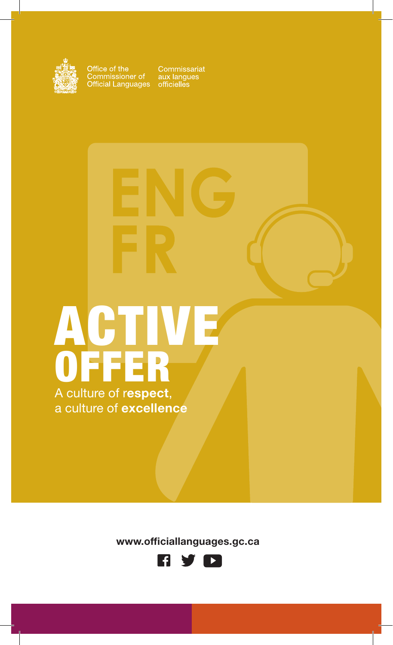

Office of the<br>Commissioner of<br>Official Languages

Commissariat<br>aux langues<br>officielles

# ACTIVE OFFER

A culture of respect, a culture of excellence

www.officiallanguages.gc.ca

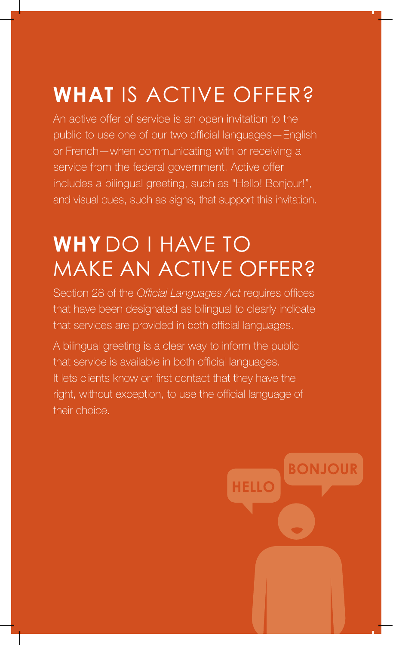# **WHAT** IS ACTIVE OFFER?

An active offer of service is an open invitation to the public to use one of our two official languages—English or French—when communicating with or receiving a service from the federal government. Active offer includes a bilingual greeting, such as "Hello! Bonjour!", and visual cues, such as signs, that support this invitation.

# **WHY** DO I HAVE TO MAKE AN ACTIVE OFFER?

Section 28 of the *Official Languages Act* requires offices that have been designated as bilingual to clearly indicate that services are provided in both official languages.

A bilingual greeting is a clear way to inform the public that service is available in both official languages. It lets clients know on first contact that they have the right, without exception, to use the official language of their choice.

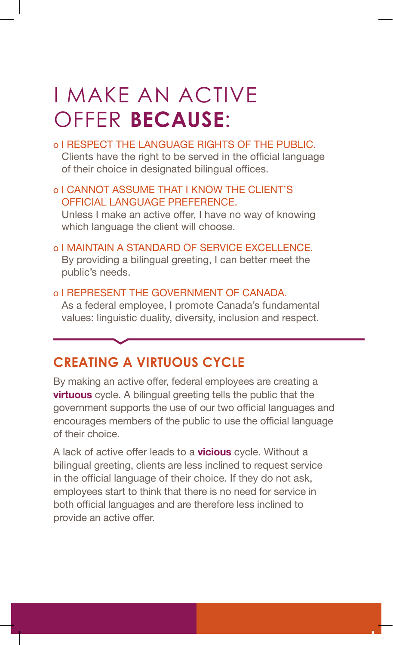# I MAKE AN ACTIVE OFFER **BECAUSE**:

o I RESPECT THE LANGUAGE RIGHTS OF THE PUBLIC.

Clients have the right to be served in the official language of their choice in designated bilingual offices.

### o I CANNOT ASSUME THAT I KNOW THE CLIENT'S OFFICIAL LANGUAGE PREFERENCE.

Unless I make an active offer, I have no way of knowing which language the client will choose.

- o I MAINTAIN A STANDARD OF SERVICE EXCELLENCE. By providing a bilingual greeting, I can better meet the public's needs.
- o I REPRESENT THE GOVERNMENT OF CANADA. As a federal employee, I promote Canada's fundamental values: linguistic duality, diversity, inclusion and respect.

# **CREATING A VIRTUOUS CYCLE**

By making an active offer, federal employees are creating a **virtuous** cycle. A bilingual greeting tells the public that the government supports the use of our two official languages and encourages members of the public to use the official language of their choice.

A lack of active offer leads to a **vicious** cycle. Without a bilingual greeting, clients are less inclined to request service in the official language of their choice. If they do not ask, employees start to think that there is no need for service in both official languages and are therefore less inclined to provide an active offer.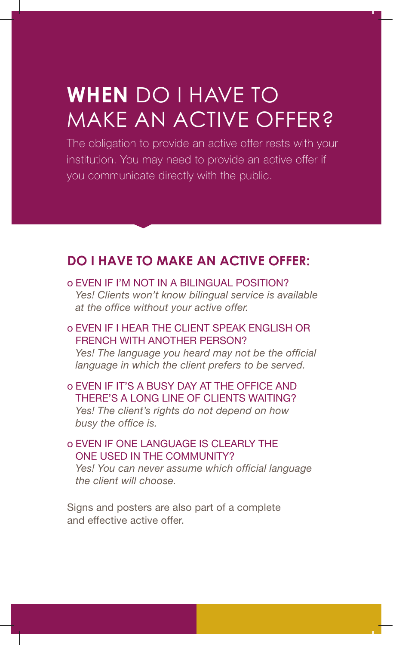# **WHEN** DO I HAVE TO MAKE AN ACTIVE OFFER?

The obligation to provide an active offer rests with your institution. You may need to provide an active offer if you communicate directly with the public.

# **DO I HAVE TO MAKE AN ACTIVE OFFER:**

o EVEN IF I'M NOT IN A BILINGUAL POSITION? *Yes! Clients won't know bilingual service is available at the office without your active offer.*

### o EVEN IF I HEAR THE CLIENT SPEAK ENGLISH OR FRENCH WITH ANOTHER PERSON?

*Yes! The language you heard may not be the official language in which the client prefers to be served.* 

o EVEN IF IT'S A BUSY DAY AT THE OFFICE AND THERE'S A LONG LINE OF CLIENTS WAITING? *Yes! The client's rights do not depend on how busy the office is.*

## o EVEN IF ONE LANGUAGE IS CLEARLY THE ONE USED IN THE COMMUNITY?

*Yes! You can never assume which official language the client will choose.*

Signs and posters are also part of a complete and effective active offer.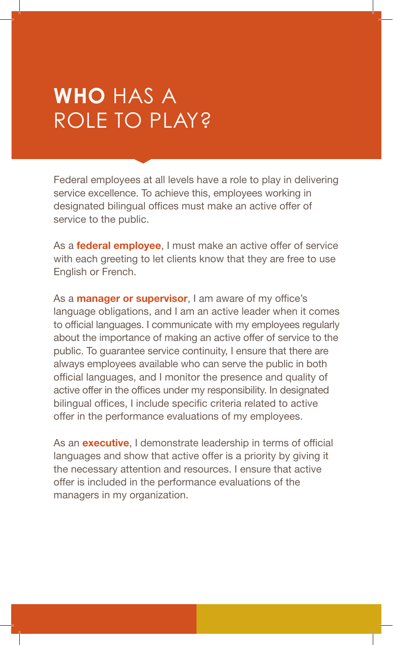# **WHO** HAS A ROLE TO PLAY?

Federal employees at all levels have a role to play in delivering service excellence. To achieve this, employees working in designated bilingual offices must make an active offer of service to the public.

As a **federal employee**, I must make an active offer of service with each greeting to let clients know that they are free to use English or French.

As a **manager or supervisor**, I am aware of my office's language obligations, and I am an active leader when it comes to official languages. I communicate with my employees regularly about the importance of making an active offer of service to the public. To guarantee service continuity, I ensure that there are always employees available who can serve the public in both official languages, and I monitor the presence and quality of active offer in the offices under my responsibility. In designated bilingual offices, I include specific criteria related to active offer in the performance evaluations of my employees.

As an **executive**, I demonstrate leadership in terms of official languages and show that active offer is a priority by giving it the necessary attention and resources. I ensure that active offer is included in the performance evaluations of the managers in my organization.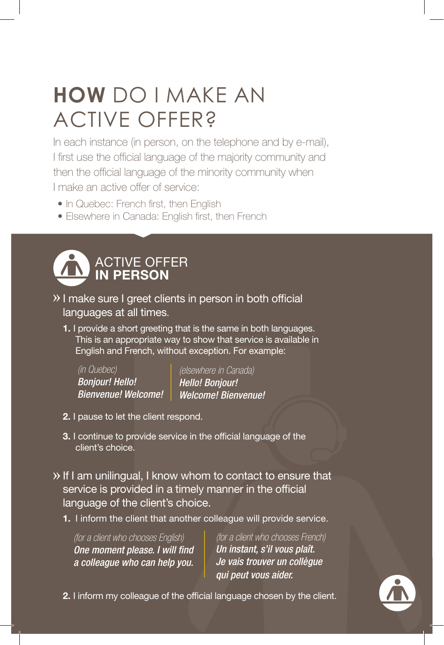# **HOW** DO I MAKE AN ACTIVE OFFER?

In each instance (in person, on the telephone and by e-mail), I first use the official language of the majority community and then the official language of the minority community when I make an active offer of service:

- In Quebec: French first, then English
- Elsewhere in Canada: English first, then French



- I make sure I greet clients in person in both official languages at all times.
	- 1. I provide a short greeting that is the same in both languages. This is an appropriate way to show that service is available in English and French, without exception. For example:

*(in Quebec) Bonjour! Hello! Bienvenue! Welcome!* *(elsewhere in Canada) Hello! Bonjour! Welcome! Bienvenue!* 

- 2. I pause to let the client respond.
- 3. I continue to provide service in the official language of the client's choice.
- If I am unilingual, I know whom to contact to ensure that service is provided in a timely manner in the official language of the client's choice.
	- 1. I inform the client that another colleague will provide service.

*(for a client who chooses English) One moment please. I will find a colleague who can help you.*

*(for a client who chooses French) Un instant, s'il vous plaît. Je vais trouver un collègue qui peut vous aider.*

2. I inform my colleague of the official language chosen by the client.

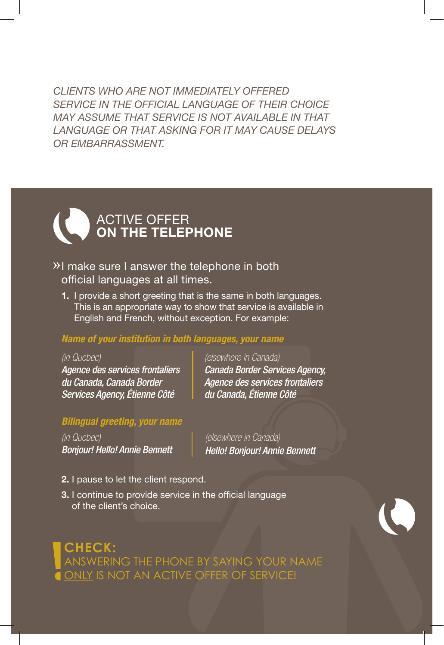*CLIENTS WHO ARE NOT IMMEDIATELY OFFERED SERVICE IN THE OFFICIAL LANGUAGE OF THEIR CHOICE MAY ASSUME THAT SERVICE IS NOT AVAILABLE IN THAT LANGUAGE OR THAT ASKING FOR IT MAY CAUSE DELAYS OR EMBARRASSMENT.*

# ACTIVE OFFER ON THE TELEPHONE

- $\mathcal{V}$ I make sure I answer the telephone in both official languages at all times.
	- 1. I provide a short greeting that is the same in both languages. This is an appropriate way to show that service is available in English and French, without exception. For example:

### *Name of your institution in both languages, your name*

#### *(in Quebec)*

*Agence des services frontaliers du Canada, Canada Border Services Agency, Étienne Côté* 

*(elsewhere in Canada) Canada Border Services Agency, Agence des services frontaliers du Canada, Étienne Côté*

#### *Bilingual greeting, your name*

*(in Quebec) Bonjour! Hello! Annie Bennett* *(elsewhere in Canada) Hello! Bonjour! Annie Bennett*

- 2. I pause to let the client respond.
- 3. I continue to provide service in the official language of the client's choice.

**CHECK:** ANSWERING THE PHONE BY SAYING YOUR NAME ONLY IS NOT AN ACTIVE OFFER OF SERVICE!

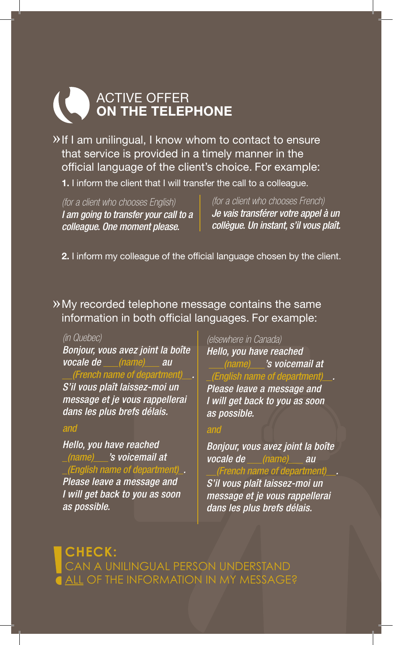# ACTIVE OFFER ON THE TELEPHONE

» If I am unilingual, I know whom to contact to ensure that service is provided in a timely manner in the official language of the client's choice. For example:

1. I inform the client that I will transfer the call to a colleague.

*(for a client who chooses English) I am going to transfer your call to a colleague. One moment please.*

*(for a client who chooses French) Je vais transférer votre appel à un collègue. Un instant, s'il vous plaît.*

2. I inform my colleague of the official language chosen by the client.

My recorded telephone message contains the same information in both official languages. For example:

#### *(in Quebec)*

*Bonjour, vous avez joint la boîte vocale de \_\_\_(name)\_\_\_ au \_\_(French name of department)\_\_. S'il vous plaît laissez-moi un message et je vous rappellerai dans les plus brefs délais.*

#### *and*

*Hello, you have reached \_(name)\_\_\_'s voicemail at \_(English name of department)\_. Please leave a message and I will get back to you as soon as possible.*

*(elsewhere in Canada) Hello, you have reached \_\_\_(name)\_\_\_'s voicemail at \_(English name of department)\_\_. Please leave a message and I will get back to you as soon as possible.*

#### *and*

*Bonjour, vous avez joint la boîte vocale de \_\_\_(name)\_\_\_ au \_\_(French name of department)\_\_.* 

*S'il vous plaît laissez-moi un message et je vous rappellerai dans les plus brefs délais.*

**CHECK:** CAN A UNILINGUAL PERSON UNDERSTAND ALL OF THE INFORMATION IN MY MESSAGE?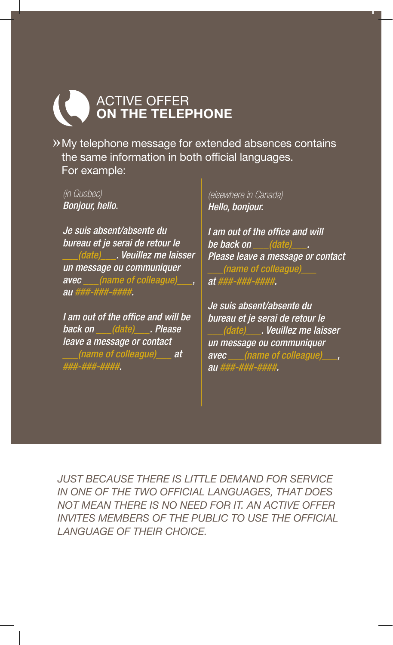# ACTIVE OFFER ON THE TELEPHONE

My telephone message for extended absences contains the same information in both official languages. For example:

*(in Quebec) Bonjour, hello.* 

*Je suis absent/absente du bureau et je serai de retour le \_\_\_(date)\_\_\_. Veuillez me laisser un message ou communiquer avec \_\_\_(name of colleague)\_\_\_, au ###-###-####.*

*I am out of the office and will be back on \_\_\_(date)\_\_\_. Please leave a message or contact \_\_\_(name of colleague)\_\_\_ at ###-###-####.*

*(elsewhere in Canada) Hello, bonjour.* 

*I am out of the office and will be back on \_\_\_(date)\_\_\_. Please leave a message or contact \_\_\_(name of colleague)\_\_\_ at ###-###-####.*

*Je suis absent/absente du bureau et je serai de retour le \_\_\_(date)\_\_\_. Veuillez me laisser un message ou communiquer avec \_\_\_(name of colleague)\_\_\_, au ###-###-####.*

*JUST BECAUSE THERE IS LITTLE DEMAND FOR SERVICE IN ONE OF THE TWO OFFICIAL LANGUAGES, THAT DOES NOT MEAN THERE IS NO NEED FOR IT. AN ACTIVE OFFER INVITES MEMBERS OF THE PUBLIC TO USE THE OFFICIAL LANGUAGE OF THEIR CHOICE.*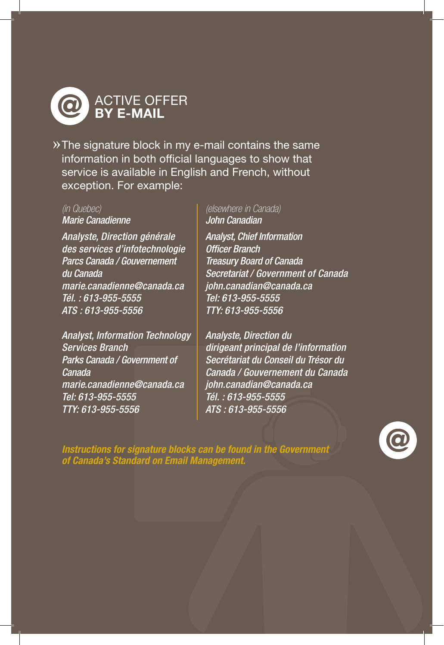

The signature block in my e-mail contains the same information in both official languages to show that service is available in English and French, without exception. For example:

### *(in Quebec)*

*Marie Canadienne*

*Analyste, Direction générale des services d'infotechnologie Parcs Canada / Gouvernement du Canada marie.canadienne@canada.ca Tél. : 613-955-5555 ATS : 613-955-5556*

*Analyst, Information Technology Services Branch Parks Canada / Government of Canada marie.canadienne@canada.ca Tel: 613-955-5555 TTY: 613-955-5556*

*(elsewhere in Canada) John Canadian*

*Analyst, Chief Information Officer Branch Treasury Board of Canada Secretariat / Government of Canada john.canadian@canada.ca Tel: 613-955-5555 TTY: 613-955-5556*

*Analyste, Direction du dirigeant principal de l'information Secrétariat du Conseil du Trésor du Canada / Gouvernement du Canada john.canadian@canada.ca Tél. : 613-955-5555 ATS : 613-955-5556*

*Instructions for signature blocks can be found in the Government of Canada's Standard on Email Management.*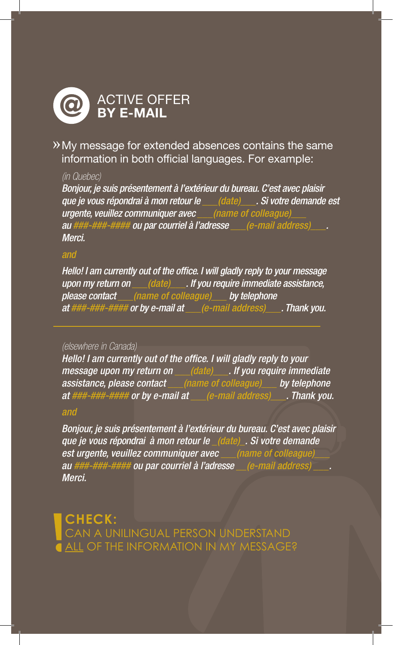

My message for extended absences contains the same information in both official languages. For example:

#### *(in Quebec)*

*Bonjour, je suis présentement à l'extérieur du bureau. C'est avec plaisir que je vous répondrai à mon retour le \_\_\_(date)\_\_\_. Si votre demande est urgente, veuillez communiquer avec \_\_\_(name of colleague)\_\_\_ au ###-###-#### ou par courriel à l'adresse \_\_\_(e-mail address)\_\_\_. Merci.*

### *and*

*Hello! I am currently out of the office. I will gladly reply to your message upon my return on \_\_\_(date)\_\_\_. If you require immediate assistance, please contact \_\_\_(name of colleague)\_\_\_ by telephone at ###-###-#### or by e-mail at \_\_\_(e-mail address)\_\_\_. Thank you.*

#### *(elsewhere in Canada)*

*Hello! I am currently out of the office. I will gladly reply to your message upon my return on \_\_\_(date)\_\_\_. If you require immediate assistance, please contact \_\_\_(name of colleague)\_\_\_ by telephone at ###-###-#### or by e-mail at \_\_\_(e-mail address)\_\_\_. Thank you.*

#### *and*

*Bonjour, je suis présentement à l'extérieur du bureau. C'est avec plaisir que je vous répondrai à mon retour le \_(date)\_. Si votre demande est urgente, veuillez communiquer avec \_\_\_(name of colleague)\_\_\_ au ###-###-#### ou par courriel à l'adresse \_\_(e-mail address) \_\_\_. Merci.*

**CHECK:** CAN A UNILINGUAL PERSON UNDERSTAND ALL OF THE INFORMATION IN MY MESSAGE?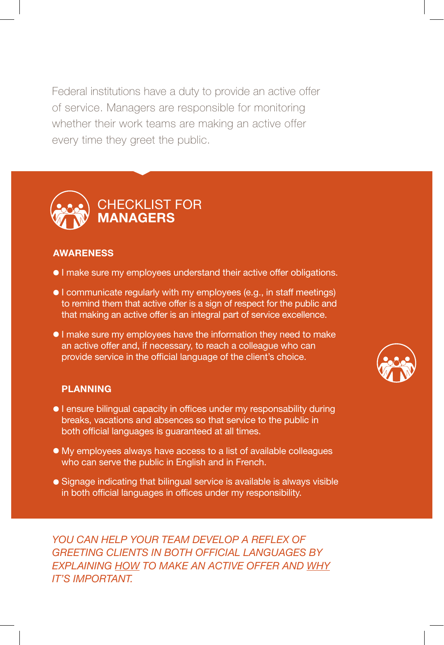Federal institutions have a duty to provide an active offer of service. Managers are responsible for monitoring whether their work teams are making an active offer every time they greet the public.



#### AWARENESS

- I make sure my employees understand their active offer obligations.
- I communicate regularly with my employees (e.g., in staff meetings) to remind them that active offer is a sign of respect for the public and that making an active offer is an integral part of service excellence.
- I make sure my employees have the information they need to make an active offer and, if necessary, to reach a colleague who can provide service in the official language of the client's choice.

#### PLANNING

- **I** ensure bilingual capacity in offices under my responsability during breaks, vacations and absences so that service to the public in both official languages is guaranteed at all times.
- My employees always have access to a list of available colleagues who can serve the public in English and in French.
- Signage indicating that bilingual service is available is always visible in both official languages in offices under my responsibility.

*YOU CAN HELP YOUR TEAM DEVELOP A REFLEX OF GREETING CLIENTS IN BOTH OFFICIAL LANGUAGES BY EXPLAINING HOW TO MAKE AN ACTIVE OFFER AND WHY IT'S IMPORTANT.*

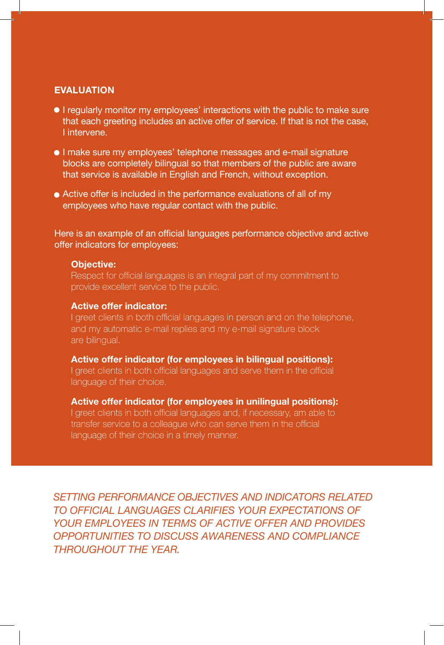#### EVALUATION

- I regularly monitor my employees' interactions with the public to make sure that each greeting includes an active offer of service. If that is not the case, I intervene.
- I make sure my employees' telephone messages and e-mail signature blocks are completely bilingual so that members of the public are aware that service is available in English and French, without exception.
- Active offer is included in the performance evaluations of all of my employees who have regular contact with the public.

Here is an example of an official languages performance objective and active offer indicators for employees:

#### Objective:

Respect for official languages is an integral part of my commitment to provide excellent service to the public.

#### Active offer indicator:

I greet clients in both official languages in person and on the telephone, and my automatic e-mail replies and my e-mail signature block are bilingual.

#### Active offer indicator (for employees in bilingual positions):

I greet clients in both official languages and serve them in the official language of their choice.

#### Active offer indicator (for employees in unilingual positions):

I greet clients in both official languages and, if necessary, am able to transfer service to a colleague who can serve them in the official language of their choice in a timely manner.

*SETTING PERFORMANCE OBJECTIVES AND INDICATORS RELATED TO OFFICIAL LANGUAGES CLARIFIES YOUR EXPECTATIONS OF YOUR EMPLOYEES IN TERMS OF ACTIVE OFFER AND PROVIDES OPPORTUNITIES TO DISCUSS AWARENESS AND COMPLIANCE THROUGHOUT THE YEAR.*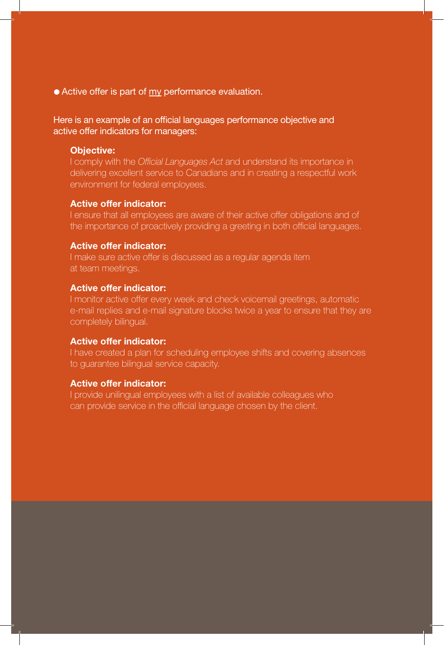● Active offer is part of my performance evaluation.

Here is an example of an official languages performance objective and active offer indicators for managers:

#### Objective:

I comply with the *Official Languages Act* and understand its importance in delivering excellent service to Canadians and in creating a respectful work environment for federal employees.

#### Active offer indicator:

I ensure that all employees are aware of their active offer obligations and of the importance of proactively providing a greeting in both official languages.

#### Active offer indicator:

I make sure active offer is discussed as a regular agenda item at team meetings.

#### Active offer indicator:

I monitor active offer every week and check voicemail greetings, automatic e-mail replies and e-mail signature blocks twice a year to ensure that they are completely bilingual.

#### Active offer indicator:

I have created a plan for scheduling employee shifts and covering absences to guarantee bilingual service capacity.

#### Active offer indicator:

I provide unilingual employees with a list of available colleagues who can provide service in the official language chosen by the client.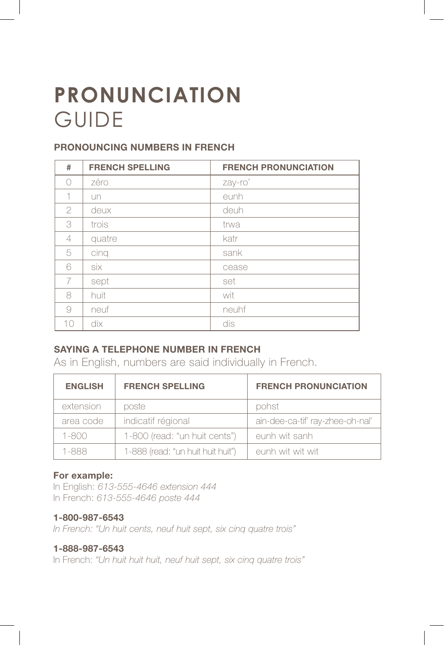# **PRONUNCIATION** GUIDE

## PRONOUNCING NUMBERS IN FRENCH

| #             | <b>FRENCH SPELLING</b> | <b>FRENCH PRONUNCIATION</b> |
|---------------|------------------------|-----------------------------|
| ∩             | zéro                   | zay-ro'                     |
| 1             | un                     | eunh                        |
| $\mathcal{P}$ | deux                   | deuh                        |
| 3             | trois                  | trwa                        |
| 4             | quatre                 | katr                        |
| 5             | cinq                   | sank                        |
| 6             | six                    | cease                       |
| 7             | sept                   | set                         |
| 8             | huit                   | wit                         |
| 9             | neuf                   | neuhf                       |
| 10            | dix                    | dis                         |

# SAYING A TELEPHONE NUMBER IN FRENCH

As in English, numbers are said individually in French.

| <b>ENGLISH</b> | <b>FRENCH SPELLING</b>            | <b>FRENCH PRONUNCIATION</b>      |
|----------------|-----------------------------------|----------------------------------|
| extension      | poste                             | pohst                            |
| area code      | indicatif régional                | ain-dee-ca-tif' ray-zhee-oh-nal' |
| $1 - 800$      | 1-800 (read: "un huit cents")     | eunh wit sanh                    |
| 1-888          | 1-888 (read: "un huit huit huit") | eunh wit wit wit                 |

### For example:

In English: *613-555-4646 extension 444* In French: *613-555-4646 poste 444*

#### 1-800-987-6543

*In French: "Un huit cents, neuf huit sept, six cinq quatre trois"*

#### 1-888-987-6543

In French: *"Un huit huit huit, neuf huit sept, six cinq quatre trois"*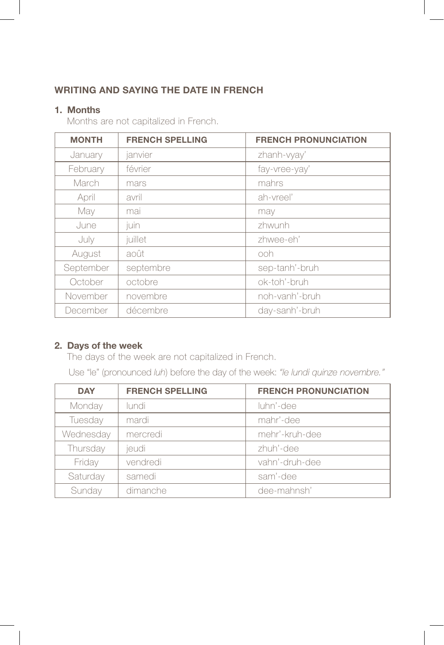## WRITING AND SAYING THE DATE IN FRENCH

### 1. Months

Months are not capitalized in French.

| <b>MONTH</b> | <b>FRENCH SPELLING</b> | <b>FRENCH PRONUNCIATION</b> |
|--------------|------------------------|-----------------------------|
| January      | janvier                | zhanh-vyay'                 |
| February     | février                | fay-vree-yay'               |
| March        | mars                   | mahrs                       |
| April        | avril                  | ah-vreel'                   |
| May          | mai                    | may                         |
| June         | juin                   | zhwunh                      |
| July         | juillet                | zhwee-eh'                   |
| August       | août                   | ooh                         |
| September    | septembre              | sep-tanh'-bruh              |
| October      | octobre                | ok-toh'-bruh                |
| November     | novembre               | noh-vanh'-bruh              |
| December     | décembre               | day-sanh'-bruh              |

### 2. Days of the week

The days of the week are not capitalized in French.

Use "le" (pronounced *luh*) before the day of the week: *"le lundi quinze novembre."*

| <b>DAY</b> | <b>FRENCH SPELLING</b> | <b>FRENCH PRONUNCIATION</b> |
|------------|------------------------|-----------------------------|
| Monday     | lundi.                 | luhn'-dee                   |
| Tuesday    | mardi                  | mahr'-dee                   |
| Wednesday  | mercredi               | mehr'-kruh-dee              |
| Thursday   | jeudi                  | zhuh'-dee                   |
| Friday     | vendredi               | vahn'-druh-dee              |
| Saturday   | samedi                 | sam'-dee                    |
| Sunday     | dimanche               | dee-mahnsh'                 |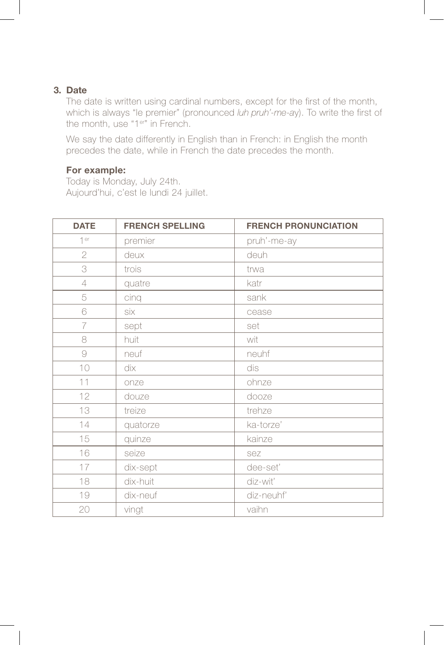#### 3. Date

The date is written using cardinal numbers, except for the first of the month, which is always "le premier" (pronounced *luh pruh'-me-a*y). To write the first of the month, use "1er" in French.

We say the date differently in English than in French: in English the month precedes the date, while in French the date precedes the month.

#### For example:

Today is Monday, July 24th. Aujourd'hui, c'est le lundi 24 juillet.

| <b>DATE</b>    | <b>FRENCH SPELLING</b> | <b>FRENCH PRONUNCIATION</b> |
|----------------|------------------------|-----------------------------|
| 1er            | premier                | pruh'-me-ay                 |
| $\overline{2}$ | deux                   | deuh                        |
| 3              | trois                  | trwa                        |
| 4              | quatre                 | katr                        |
| 5              | cinq                   | sank                        |
| 6              | six                    | cease                       |
| $\overline{7}$ | sept                   | set                         |
| 8              | huit                   | wit                         |
| $\Theta$       | neuf                   | neuhf                       |
| 10             | dix                    | dis                         |
| 11             | onze                   | ohnze                       |
| 12             | douze                  | dooze                       |
| 13             | treize                 | trehze                      |
| 14             | quatorze               | ka-torze'                   |
| 15             | quinze                 | kainze                      |
| 16             | seize                  | sez                         |
| 17             | dix-sept               | dee-set'                    |
| 18             | dix-huit               | diz-wit'                    |
| 19             | dix-neuf               | diz-neuhf'                  |
| 20             | vingt                  | vaihn                       |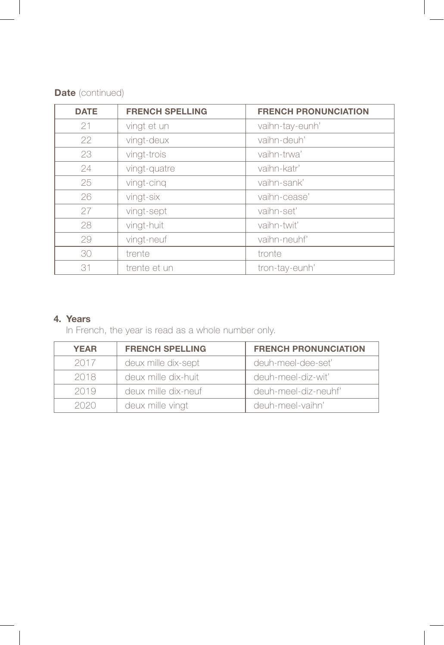| <b>Date</b> (continued) |  |  |
|-------------------------|--|--|
|-------------------------|--|--|

| <b>DATE</b> | <b>FRENCH SPELLING</b> | <b>FRENCH PRONUNCIATION</b> |
|-------------|------------------------|-----------------------------|
| 21          | vingt et un            | vaihn-tay-eunh'             |
| 22          | vingt-deux             | vaihn-deuh'                 |
| 23          | vingt-trois            | vaihn-trwa'                 |
| 24          | vingt-quatre           | vaihn-katr'                 |
| 25          | vingt-cinq             | vaihn-sank'                 |
| 26          | vingt-six              | vaihn-cease'                |
| 27          | vingt-sept             | vaihn-set'                  |
| 28          | vingt-huit             | vaihn-twit'                 |
| 29          | vingt-neuf             | vaihn-neuhf'                |
| 30          | trente                 | tronte                      |
| 31          | trente et un           | tron-tay-eunh'              |

# 4. Years

In French, the year is read as a whole number only.

| <b>YEAR</b> | <b>FRENCH SPELLING</b> | <b>FRENCH PRONUNCIATION</b> |
|-------------|------------------------|-----------------------------|
| 2017        | deux mille dix-sept    | deuh-meel-dee-set'          |
| 2018        | deux mille dix-huit    | deuh-meel-diz-wit'          |
| 2019        | deux mille dix-neuf    | deuh-meel-diz-neuhf'        |
| 2020        | deux mille vingt       | deuh-meel-vaihn'            |